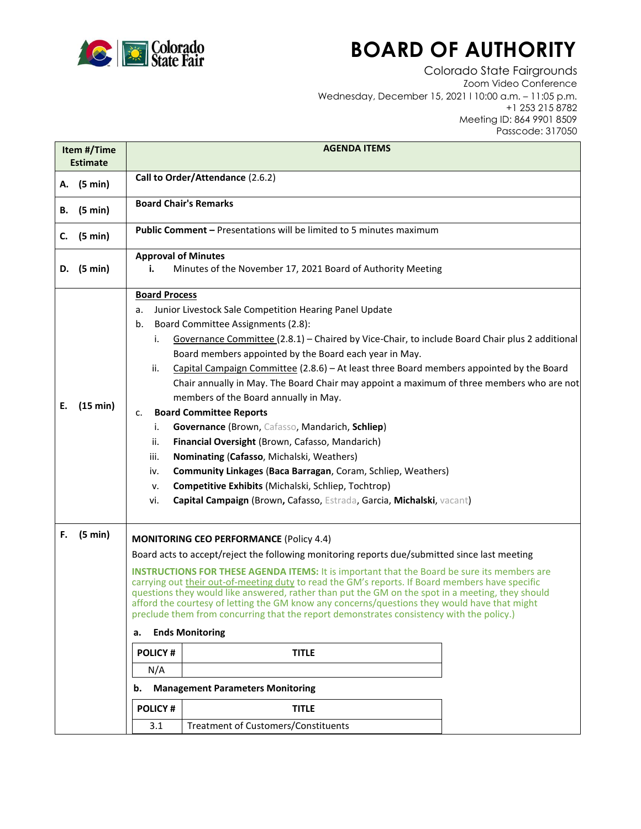

## **BOARD OF AUTHORITY**

Colorado State Fairgrounds Zoom Video Conference Wednesday, December 15, 2021 l 10:00 a.m. – 11:05 p.m. +1 253 215 8782 Meeting ID: 864 9901 8509 Passcode: 317050

| Item #/Time<br><b>Estimate</b> |          | <b>AGENDA ITEMS</b>                                                                                                                                                                                                                                                                                                                                                                                                                                                                                                                                                                                                                                                                                                                                                                                                                                                                                                                                                             |
|--------------------------------|----------|---------------------------------------------------------------------------------------------------------------------------------------------------------------------------------------------------------------------------------------------------------------------------------------------------------------------------------------------------------------------------------------------------------------------------------------------------------------------------------------------------------------------------------------------------------------------------------------------------------------------------------------------------------------------------------------------------------------------------------------------------------------------------------------------------------------------------------------------------------------------------------------------------------------------------------------------------------------------------------|
| A. (5 min)                     |          | Call to Order/Attendance (2.6.2)                                                                                                                                                                                                                                                                                                                                                                                                                                                                                                                                                                                                                                                                                                                                                                                                                                                                                                                                                |
| В.                             | (5 min)  | <b>Board Chair's Remarks</b>                                                                                                                                                                                                                                                                                                                                                                                                                                                                                                                                                                                                                                                                                                                                                                                                                                                                                                                                                    |
| C.                             | (5 min)  | <b>Public Comment - Presentations will be limited to 5 minutes maximum</b>                                                                                                                                                                                                                                                                                                                                                                                                                                                                                                                                                                                                                                                                                                                                                                                                                                                                                                      |
| D.                             | (5 min)  | <b>Approval of Minutes</b><br>Minutes of the November 17, 2021 Board of Authority Meeting<br>i.                                                                                                                                                                                                                                                                                                                                                                                                                                                                                                                                                                                                                                                                                                                                                                                                                                                                                 |
| Е.                             | (15 min) | <b>Board Process</b><br>Junior Livestock Sale Competition Hearing Panel Update<br>a.<br>Board Committee Assignments (2.8):<br>b.<br>Governance Committee (2.8.1) - Chaired by Vice-Chair, to include Board Chair plus 2 additional<br>i.<br>Board members appointed by the Board each year in May.<br>Capital Campaign Committee (2.8.6) - At least three Board members appointed by the Board<br>ii.<br>Chair annually in May. The Board Chair may appoint a maximum of three members who are not<br>members of the Board annually in May.<br><b>Board Committee Reports</b><br>c.<br>Governance (Brown, Cafasso, Mandarich, Schliep)<br>i.<br>Financial Oversight (Brown, Cafasso, Mandarich)<br>ii.<br>Nominating (Cafasso, Michalski, Weathers)<br>iii.<br>Community Linkages (Baca Barragan, Coram, Schliep, Weathers)<br>iv.<br>Competitive Exhibits (Michalski, Schliep, Tochtrop)<br>ν.<br>Capital Campaign (Brown, Cafasso, Estrada, Garcia, Michalski, vacant)<br>vi. |
| F.                             | (5 min)  | <b>MONITORING CEO PERFORMANCE (Policy 4.4)</b><br>Board acts to accept/reject the following monitoring reports due/submitted since last meeting<br><b>INSTRUCTIONS FOR THESE AGENDA ITEMS:</b> It is important that the Board be sure its members are<br>carrying out their out-of-meeting duty to read the GM's reports. If Board members have specific<br>questions they would like answered, rather than put the GM on the spot in a meeting, they should<br>afford the courtesy of letting the GM know any concerns/questions they would have that might<br>preclude them from concurring that the report demonstrates consistency with the policy.)<br><b>Ends Monitoring</b><br>а.<br><b>POLICY#</b><br><b>TITLE</b><br>N/A<br><b>Management Parameters Monitoring</b><br>b.<br><b>POLICY#</b><br><b>TITLE</b>                                                                                                                                                            |
|                                |          | <b>Treatment of Customers/Constituents</b><br>3.1                                                                                                                                                                                                                                                                                                                                                                                                                                                                                                                                                                                                                                                                                                                                                                                                                                                                                                                               |